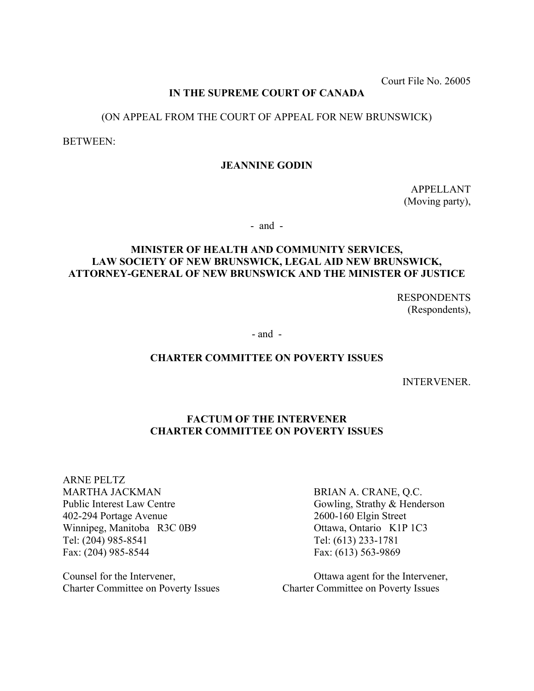Court File No. 26005

# **IN THE SUPREME COURT OF CANADA**

# (ON APPEAL FROM THE COURT OF APPEAL FOR NEW BRUNSWICK)

BETWEEN:

## **JEANNINE GODIN**

APPELLANT (Moving party),

- and -

# **MINISTER OF HEALTH AND COMMUNITY SERVICES, LAW SOCIETY OF NEW BRUNSWICK, LEGAL AID NEW BRUNSWICK, ATTORNEY-GENERAL OF NEW BRUNSWICK AND THE MINISTER OF JUSTICE**

 RESPONDENTS (Respondents),

- and -

#### **CHARTER COMMITTEE ON POVERTY ISSUES**

INTERVENER.

## **FACTUM OF THE INTERVENER CHARTER COMMITTEE ON POVERTY ISSUES**

ARNE PELTZ MARTHA JACKMAN BRIAN A. CRANE, Q.C. Public Interest Law Centre Gowling, Strathy & Henderson 402-294 Portage Avenue 2600-160 Elgin Street Winnipeg, Manitoba R3C 0B9 Ottawa, Ontario K1P 1C3 Tel: (204) 985-8541 Tel: (613) 233-1781 Fax: (204) 985-8544 Fax: (613) 563-9869

Charter Committee on Poverty Issues Charter Committee on Poverty Issues

Counsel for the Intervener, Ottawa agent for the Intervener,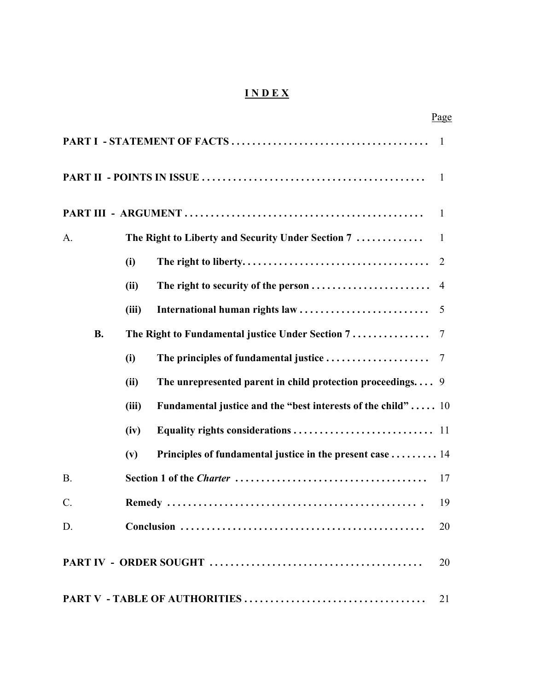# **I N D E X**

|           |           |       |                                                              | Page           |
|-----------|-----------|-------|--------------------------------------------------------------|----------------|
|           |           |       |                                                              | $\blacksquare$ |
|           |           |       |                                                              | -1             |
|           |           |       |                                                              | $\mathbf{1}$   |
| A.        |           |       | The Right to Liberty and Security Under Section 7            | $\mathbf{1}$   |
|           |           | (i)   |                                                              | 2              |
|           |           | (ii)  |                                                              |                |
|           |           | (iii) | International human rights law                               | 5              |
|           | <b>B.</b> |       | The Right to Fundamental justice Under Section 7             | 7              |
|           |           | (i)   | The principles of fundamental justice                        | 7              |
|           |           | (ii)  | The unrepresented parent in child protection proceedings $9$ |                |
|           |           | (iii) | Fundamental justice and the "best interests of the child" 10 |                |
|           |           | (iv)  |                                                              |                |
|           |           | (v)   | Principles of fundamental justice in the present case 14     |                |
| <b>B.</b> |           |       |                                                              | 17             |
| $C$ .     |           |       |                                                              | 19             |
| D.        |           |       |                                                              | 20             |
|           |           |       |                                                              | 20             |
|           |           |       |                                                              | 21             |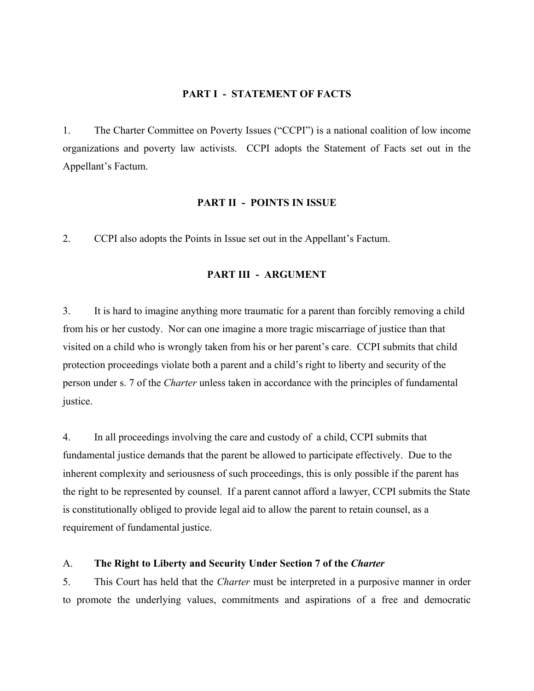### **PART I - STATEMENT OF FACTS**

1. The Charter Committee on Poverty Issues ("CCPI") is a national coalition of low income organizations and poverty law activists. CCPI adopts the Statement of Facts set out in the Appellant's Factum.

#### **PART II - POINTS IN ISSUE**

2. CCPI also adopts the Points in Issue set out in the Appellant's Factum.

## **PART III - ARGUMENT**

3. It is hard to imagine anything more traumatic for a parent than forcibly removing a child from his or her custody. Nor can one imagine a more tragic miscarriage of justice than that visited on a child who is wrongly taken from his or her parent's care. CCPI submits that child protection proceedings violate both a parent and a child's right to liberty and security of the person under s. 7 of the *Charter* unless taken in accordance with the principles of fundamental justice.

4. In all proceedings involving the care and custody of a child, CCPI submits that fundamental justice demands that the parent be allowed to participate effectively. Due to the inherent complexity and seriousness of such proceedings, this is only possible if the parent has the right to be represented by counsel. If a parent cannot afford a lawyer, CCPI submits the State is constitutionally obliged to provide legal aid to allow the parent to retain counsel, as a requirement of fundamental justice.

#### A. **The Right to Liberty and Security Under Section 7 of the** *Charter*

5. This Court has held that the *Charter* must be interpreted in a purposive manner in order to promote the underlying values, commitments and aspirations of a free and democratic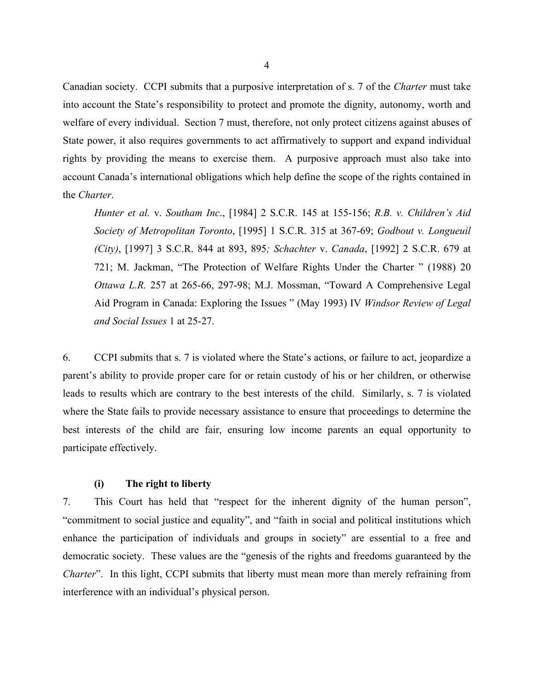Canadian society. CCPI submits that a purposive interpretation of s. 7 of the *Charter* must take into account the State's responsibility to protect and promote the dignity, autonomy, worth and welfare of every individual. Section 7 must, therefore, not only protect citizens against abuses of State power, it also requires governments to act affirmatively to support and expand individual rights by providing the means to exercise them. A purposive approach must also take into account Canada's international obligations which help define the scope of the rights contained in the *Charter*.

*Hunter et al.* v. *Southam Inc*., [1984] 2 S.C.R. 145 at 155-156; *R.B. v. Children's Aid Society of Metropolitan Toronto*, [1995] 1 S.C.R. 315 at 367-69; *Godbout v. Longueuil (City)*, [1997] 3 S.C.R. 844 at 893, 895*; Schachter* v. *Canada*, [1992] 2 S.C.R. 679 at 721; M. Jackman, "The Protection of Welfare Rights Under the Charter " (1988) 20 *Ottawa L.R.* 257 at 265-66, 297-98; M.J. Mossman, "Toward A Comprehensive Legal Aid Program in Canada: Exploring the Issues " (May 1993) IV *Windsor Review of Legal and Social Issues* 1 at 25-27.

6. CCPI submits that s. 7 is violated where the State's actions, or failure to act, jeopardize a parent's ability to provide proper care for or retain custody of his or her children, or otherwise leads to results which are contrary to the best interests of the child. Similarly, s. 7 is violated where the State fails to provide necessary assistance to ensure that proceedings to determine the best interests of the child are fair, ensuring low income parents an equal opportunity to participate effectively.

#### **(i) The right to liberty**

7. This Court has held that "respect for the inherent dignity of the human person", "commitment to social justice and equality", and "faith in social and political institutions which enhance the participation of individuals and groups in society" are essential to a free and democratic society. These values are the "genesis of the rights and freedoms guaranteed by the *Charter*". In this light, CCPI submits that liberty must mean more than merely refraining from interference with an individual's physical person.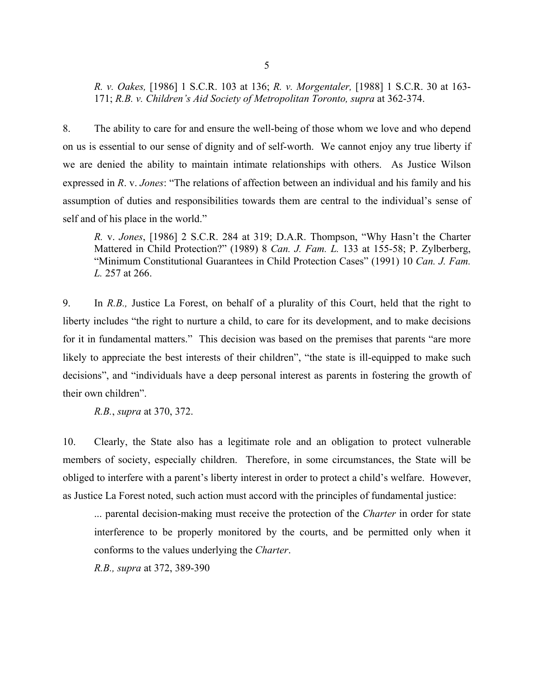*R. v. Oakes,* [1986] 1 S.C.R. 103 at 136; *R. v. Morgentaler,* [1988] 1 S.C.R. 30 at 163- 171; *R.B. v. Children's Aid Society of Metropolitan Toronto, supra* at 362-374.

8. The ability to care for and ensure the well-being of those whom we love and who depend on us is essential to our sense of dignity and of self-worth. We cannot enjoy any true liberty if we are denied the ability to maintain intimate relationships with others. As Justice Wilson expressed in *R*. v. *Jones*: "The relations of affection between an individual and his family and his assumption of duties and responsibilities towards them are central to the individual's sense of self and of his place in the world."

*R.* v. *Jones*, [1986] 2 S.C.R. 284 at 319; D.A.R. Thompson, "Why Hasn't the Charter Mattered in Child Protection?" (1989) 8 *Can. J. Fam. L.* 133 at 155-58; P. Zylberberg, "Minimum Constitutional Guarantees in Child Protection Cases" (1991) 10 *Can. J. Fam. L.* 257 at 266.

9. In *R.B.,* Justice La Forest, on behalf of a plurality of this Court, held that the right to liberty includes "the right to nurture a child, to care for its development, and to make decisions for it in fundamental matters." This decision was based on the premises that parents "are more likely to appreciate the best interests of their children", "the state is ill-equipped to make such decisions", and "individuals have a deep personal interest as parents in fostering the growth of their own children".

*R.B.*, *supra* at 370, 372.

10. Clearly, the State also has a legitimate role and an obligation to protect vulnerable members of society, especially children. Therefore, in some circumstances, the State will be obliged to interfere with a parent's liberty interest in order to protect a child's welfare. However, as Justice La Forest noted, such action must accord with the principles of fundamental justice:

... parental decision-making must receive the protection of the *Charter* in order for state interference to be properly monitored by the courts, and be permitted only when it conforms to the values underlying the *Charter*.

*R.B., supra* at 372, 389-390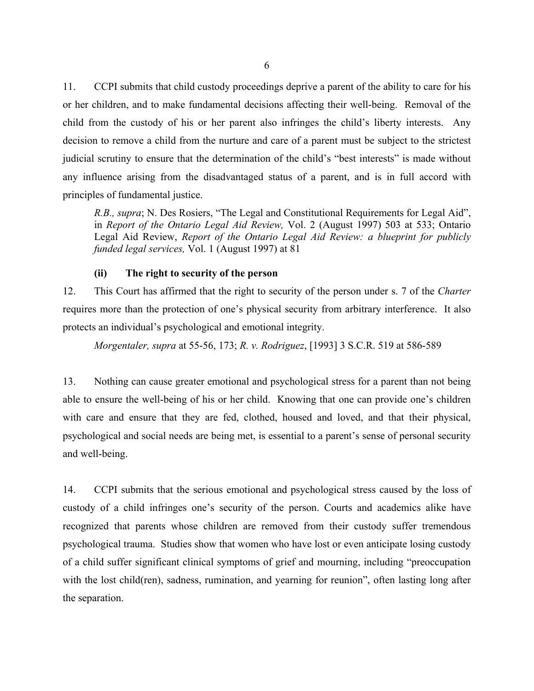11. CCPI submits that child custody proceedings deprive a parent of the ability to care for his or her children, and to make fundamental decisions affecting their well-being. Removal of the child from the custody of his or her parent also infringes the child's liberty interests. Any decision to remove a child from the nurture and care of a parent must be subject to the strictest judicial scrutiny to ensure that the determination of the child's "best interests" is made without any influence arising from the disadvantaged status of a parent, and is in full accord with principles of fundamental justice.

*R.B., supra*; N. Des Rosiers, "The Legal and Constitutional Requirements for Legal Aid", in *Report of the Ontario Legal Aid Review,* Vol. 2 (August 1997) 503 at 533; Ontario Legal Aid Review, *Report of the Ontario Legal Aid Review: a blueprint for publicly funded legal services,* Vol. 1 (August 1997) at 81

## **(ii) The right to security of the person**

12. This Court has affirmed that the right to security of the person under s. 7 of the *Charter* requires more than the protection of one's physical security from arbitrary interference. It also protects an individual's psychological and emotional integrity.

*Morgentaler, supra* at 55-56, 173; *R. v. Rodriguez*, [1993] 3 S.C.R. 519 at 586-589

13. Nothing can cause greater emotional and psychological stress for a parent than not being able to ensure the well-being of his or her child. Knowing that one can provide one's children with care and ensure that they are fed, clothed, housed and loved, and that their physical, psychological and social needs are being met, is essential to a parent's sense of personal security and well-being.

14. CCPI submits that the serious emotional and psychological stress caused by the loss of custody of a child infringes one's security of the person. Courts and academics alike have recognized that parents whose children are removed from their custody suffer tremendous psychological trauma. Studies show that women who have lost or even anticipate losing custody of a child suffer significant clinical symptoms of grief and mourning, including "preoccupation with the lost child(ren), sadness, rumination, and yearning for reunion", often lasting long after the separation.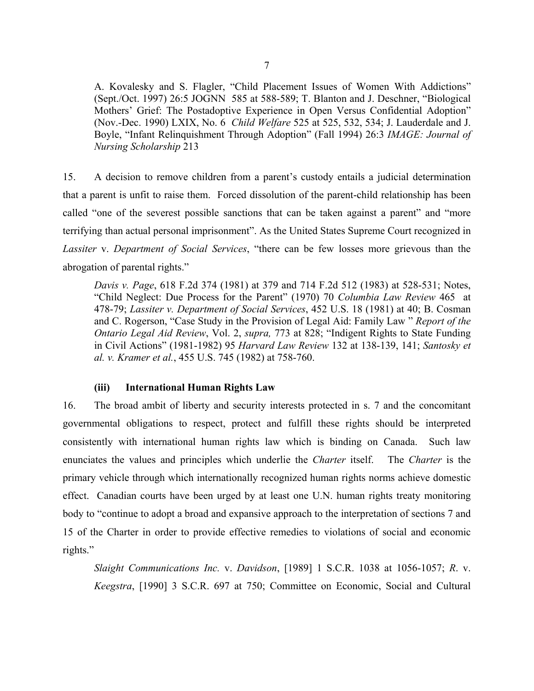A. Kovalesky and S. Flagler, "Child Placement Issues of Women With Addictions" (Sept./Oct. 1997) 26:5 JOGNN 585 at 588-589; T. Blanton and J. Deschner, "Biological Mothers' Grief: The Postadoptive Experience in Open Versus Confidential Adoption" (Nov.-Dec. 1990) LXIX, No. 6 *Child Welfare* 525 at 525, 532, 534; J. Lauderdale and J. Boyle, "Infant Relinquishment Through Adoption" (Fall 1994) 26:3 *IMAGE: Journal of Nursing Scholarship* 213

15. A decision to remove children from a parent's custody entails a judicial determination that a parent is unfit to raise them. Forced dissolution of the parent-child relationship has been called "one of the severest possible sanctions that can be taken against a parent" and "more terrifying than actual personal imprisonment". As the United States Supreme Court recognized in *Lassiter* v. *Department of Social Services*, "there can be few losses more grievous than the abrogation of parental rights."

*Davis v. Page*, 618 F.2d 374 (1981) at 379 and 714 F.2d 512 (1983) at 528-531; Notes, "Child Neglect: Due Process for the Parent" (1970) 70 *Columbia Law Review* 465 at 478-79; *Lassiter v. Department of Social Services*, 452 U.S. 18 (1981) at 40; B. Cosman and C. Rogerson, "Case Study in the Provision of Legal Aid: Family Law " *Report of the Ontario Legal Aid Review*, Vol. 2, *supra,* 773 at 828; "Indigent Rights to State Funding in Civil Actions" (1981-1982) 95 *Harvard Law Review* 132 at 138-139, 141; *Santosky et al. v. Kramer et al.*, 455 U.S. 745 (1982) at 758-760.

## **(iii) International Human Rights Law**

16. The broad ambit of liberty and security interests protected in s. 7 and the concomitant governmental obligations to respect, protect and fulfill these rights should be interpreted consistently with international human rights law which is binding on Canada. Such law enunciates the values and principles which underlie the *Charter* itself. The *Charter* is the primary vehicle through which internationally recognized human rights norms achieve domestic effect. Canadian courts have been urged by at least one U.N. human rights treaty monitoring body to "continue to adopt a broad and expansive approach to the interpretation of sections 7 and 15 of the Charter in order to provide effective remedies to violations of social and economic rights."

*Slaight Communications Inc.* v. *Davidson*, [1989] 1 S.C.R. 1038 at 1056-1057; *R*. v. *Keegstra*, [1990] 3 S.C.R. 697 at 750; Committee on Economic, Social and Cultural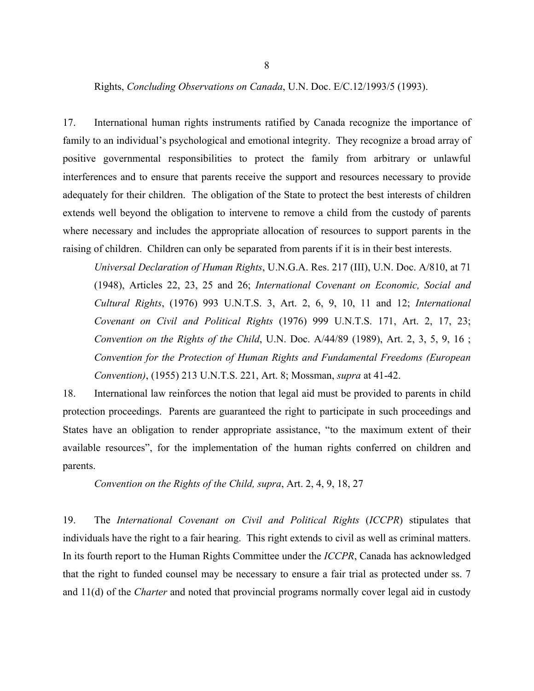8

Rights, *Concluding Observations on Canada*, U.N. Doc. E/C.12/1993/5 (1993).

17. International human rights instruments ratified by Canada recognize the importance of family to an individual's psychological and emotional integrity. They recognize a broad array of positive governmental responsibilities to protect the family from arbitrary or unlawful interferences and to ensure that parents receive the support and resources necessary to provide adequately for their children. The obligation of the State to protect the best interests of children extends well beyond the obligation to intervene to remove a child from the custody of parents where necessary and includes the appropriate allocation of resources to support parents in the raising of children. Children can only be separated from parents if it is in their best interests.

*Universal Declaration of Human Rights*, U.N.G.A. Res. 217 (III), U.N. Doc. A/810, at 71 (1948), Articles 22, 23, 25 and 26; *International Covenant on Economic, Social and Cultural Rights*, (1976) 993 U.N.T.S. 3, Art. 2, 6, 9, 10, 11 and 12; *International Covenant on Civil and Political Rights* (1976) 999 U.N.T.S. 171, Art. 2, 17, 23; *Convention on the Rights of the Child*, U.N. Doc. A/44/89 (1989), Art. 2, 3, 5, 9, 16 ; *Convention for the Protection of Human Rights and Fundamental Freedoms (European Convention)*, (1955) 213 U.N.T.S. 221, Art. 8; Mossman, *supra* at 41-42.

18. International law reinforces the notion that legal aid must be provided to parents in child protection proceedings. Parents are guaranteed the right to participate in such proceedings and States have an obligation to render appropriate assistance, "to the maximum extent of their available resources", for the implementation of the human rights conferred on children and parents.

*Convention on the Rights of the Child, supra*, Art. 2, 4, 9, 18, 27

19. The *International Covenant on Civil and Political Rights* (*ICCPR*) stipulates that individuals have the right to a fair hearing. This right extends to civil as well as criminal matters. In its fourth report to the Human Rights Committee under the *ICCPR*, Canada has acknowledged that the right to funded counsel may be necessary to ensure a fair trial as protected under ss. 7 and 11(d) of the *Charter* and noted that provincial programs normally cover legal aid in custody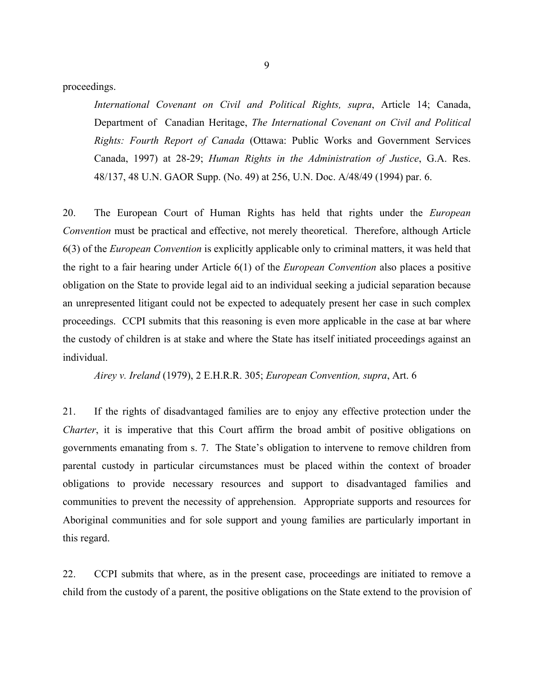proceedings.

*International Covenant on Civil and Political Rights, supra*, Article 14; Canada, Department of Canadian Heritage, *The International Covenant on Civil and Political Rights: Fourth Report of Canada* (Ottawa: Public Works and Government Services Canada, 1997) at 28-29; *Human Rights in the Administration of Justice*, G.A. Res. 48/137, 48 U.N. GAOR Supp. (No. 49) at 256, U.N. Doc. A/48/49 (1994) par. 6.

20. The European Court of Human Rights has held that rights under the *European Convention* must be practical and effective, not merely theoretical. Therefore, although Article 6(3) of the *European Convention* is explicitly applicable only to criminal matters, it was held that the right to a fair hearing under Article 6(1) of the *European Convention* also places a positive obligation on the State to provide legal aid to an individual seeking a judicial separation because an unrepresented litigant could not be expected to adequately present her case in such complex proceedings. CCPI submits that this reasoning is even more applicable in the case at bar where the custody of children is at stake and where the State has itself initiated proceedings against an individual.

*Airey v. Ireland* (1979), 2 E.H.R.R. 305; *European Convention, supra*, Art. 6

21. If the rights of disadvantaged families are to enjoy any effective protection under the *Charter*, it is imperative that this Court affirm the broad ambit of positive obligations on governments emanating from s. 7. The State's obligation to intervene to remove children from parental custody in particular circumstances must be placed within the context of broader obligations to provide necessary resources and support to disadvantaged families and communities to prevent the necessity of apprehension. Appropriate supports and resources for Aboriginal communities and for sole support and young families are particularly important in this regard.

22. CCPI submits that where, as in the present case, proceedings are initiated to remove a child from the custody of a parent, the positive obligations on the State extend to the provision of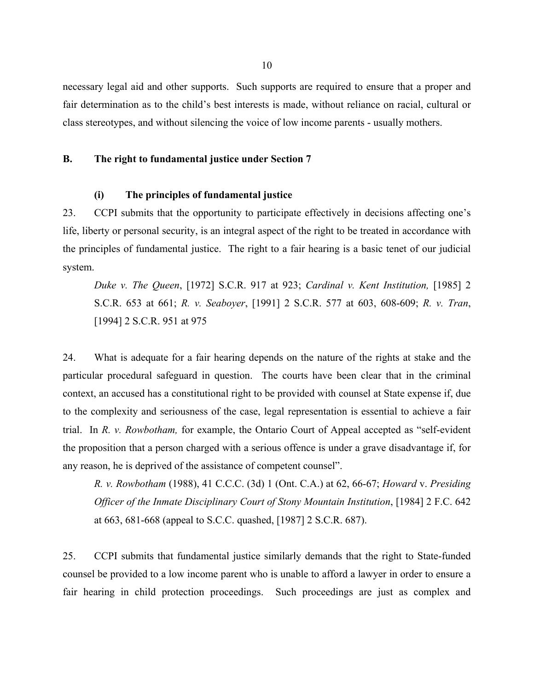necessary legal aid and other supports. Such supports are required to ensure that a proper and fair determination as to the child's best interests is made, without reliance on racial, cultural or class stereotypes, and without silencing the voice of low income parents - usually mothers.

### **B. The right to fundamental justice under Section 7**

#### **(i) The principles of fundamental justice**

23. CCPI submits that the opportunity to participate effectively in decisions affecting one's life, liberty or personal security, is an integral aspect of the right to be treated in accordance with the principles of fundamental justice. The right to a fair hearing is a basic tenet of our judicial system.

*Duke v. The Queen*, [1972] S.C.R. 917 at 923; *Cardinal v. Kent Institution,* [1985] 2 S.C.R. 653 at 661; *R. v. Seaboyer*, [1991] 2 S.C.R. 577 at 603, 608-609; *R. v. Tran*, [1994] 2 S.C.R. 951 at 975

24. What is adequate for a fair hearing depends on the nature of the rights at stake and the particular procedural safeguard in question. The courts have been clear that in the criminal context, an accused has a constitutional right to be provided with counsel at State expense if, due to the complexity and seriousness of the case, legal representation is essential to achieve a fair trial. In *R. v. Rowbotham,* for example, the Ontario Court of Appeal accepted as "self-evident the proposition that a person charged with a serious offence is under a grave disadvantage if, for any reason, he is deprived of the assistance of competent counsel".

*R. v. Rowbotham* (1988), 41 C.C.C. (3d) 1 (Ont. C.A.) at 62, 66-67; *Howard* v. *Presiding Officer of the Inmate Disciplinary Court of Stony Mountain Institution*, [1984] 2 F.C. 642 at 663, 681-668 (appeal to S.C.C. quashed, [1987] 2 S.C.R. 687).

25. CCPI submits that fundamental justice similarly demands that the right to State-funded counsel be provided to a low income parent who is unable to afford a lawyer in order to ensure a fair hearing in child protection proceedings. Such proceedings are just as complex and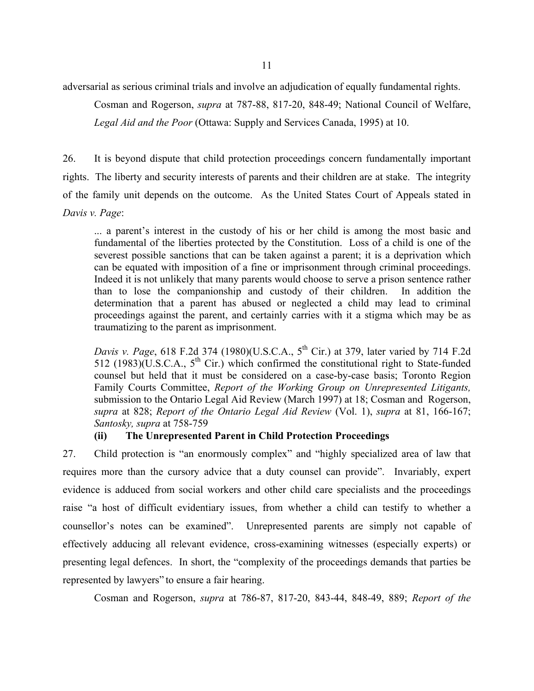11

adversarial as serious criminal trials and involve an adjudication of equally fundamental rights.

Cosman and Rogerson, *supra* at 787-88, 817-20, 848-49; National Council of Welfare,

*Legal Aid and the Poor* (Ottawa: Supply and Services Canada, 1995) at 10.

26. It is beyond dispute that child protection proceedings concern fundamentally important rights. The liberty and security interests of parents and their children are at stake. The integrity of the family unit depends on the outcome. As the United States Court of Appeals stated in *Davis v. Page*:

... a parent's interest in the custody of his or her child is among the most basic and fundamental of the liberties protected by the Constitution. Loss of a child is one of the severest possible sanctions that can be taken against a parent; it is a deprivation which can be equated with imposition of a fine or imprisonment through criminal proceedings. Indeed it is not unlikely that many parents would choose to serve a prison sentence rather than to lose the companionship and custody of their children. In addition the determination that a parent has abused or neglected a child may lead to criminal proceedings against the parent, and certainly carries with it a stigma which may be as traumatizing to the parent as imprisonment.

*Davis v. Page*, 618 F.2d 374 (1980)(U.S.C.A., 5<sup>th</sup> Cir.) at 379, later varied by 714 F.2d 512 (1983) $(\overline{U}$ .S.C.A., 5<sup>th</sup> Cir.) which confirmed the constitutional right to State-funded counsel but held that it must be considered on a case-by-case basis; Toronto Region Family Courts Committee, *Report of the Working Group on Unrepresented Litigants,* submission to the Ontario Legal Aid Review (March 1997) at 18; Cosman and Rogerson, *supra* at 828; *Report of the Ontario Legal Aid Review* (Vol. 1), *supra* at 81, 166-167; *Santosky, supra* at 758-759

# **(ii) The Unrepresented Parent in Child Protection Proceedings**

27. Child protection is "an enormously complex" and "highly specialized area of law that requires more than the cursory advice that a duty counsel can provide". Invariably, expert evidence is adduced from social workers and other child care specialists and the proceedings raise "a host of difficult evidentiary issues, from whether a child can testify to whether a counsellor's notes can be examined". Unrepresented parents are simply not capable of effectively adducing all relevant evidence, cross-examining witnesses (especially experts) or presenting legal defences. In short, the "complexity of the proceedings demands that parties be represented by lawyers" to ensure a fair hearing.

Cosman and Rogerson, *supra* at 786-87, 817-20, 843-44, 848-49, 889; *Report of the*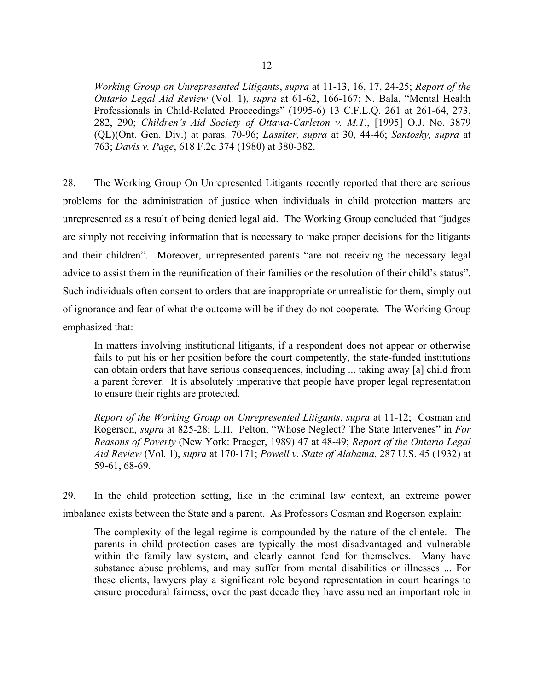*Working Group on Unrepresented Litigants*, *supra* at 11-13, 16, 17, 24-25; *Report of the Ontario Legal Aid Review* (Vol. 1), *supra* at 61-62, 166-167; N. Bala, "Mental Health Professionals in Child-Related Proceedings" (1995-6) 13 C.F.L.Q. 261 at 261-64, 273, 282, 290; *Children's Aid Society of Ottawa-Carleton v. M.T.*, [1995] O.J. No. 3879 (QL)(Ont. Gen. Div.) at paras. 70-96; *Lassiter, supra* at 30, 44-46; *Santosky, supra* at 763; *Davis v. Page*, 618 F.2d 374 (1980) at 380-382.

28. The Working Group On Unrepresented Litigants recently reported that there are serious problems for the administration of justice when individuals in child protection matters are unrepresented as a result of being denied legal aid. The Working Group concluded that "judges are simply not receiving information that is necessary to make proper decisions for the litigants and their children". Moreover, unrepresented parents "are not receiving the necessary legal advice to assist them in the reunification of their families or the resolution of their child's status". Such individuals often consent to orders that are inappropriate or unrealistic for them, simply out of ignorance and fear of what the outcome will be if they do not cooperate. The Working Group emphasized that:

In matters involving institutional litigants, if a respondent does not appear or otherwise fails to put his or her position before the court competently, the state-funded institutions can obtain orders that have serious consequences, including ... taking away [a] child from a parent forever. It is absolutely imperative that people have proper legal representation to ensure their rights are protected.

*Report of the Working Group on Unrepresented Litigants*, *supra* at 11-12; Cosman and Rogerson, *supra* at 825-28; L.H. Pelton, "Whose Neglect? The State Intervenes" in *For Reasons of Poverty* (New York: Praeger, 1989) 47 at 48-49; *Report of the Ontario Legal Aid Review* (Vol. 1), *supra* at 170-171; *Powell v. State of Alabama*, 287 U.S. 45 (1932) at 59-61, 68-69.

29. In the child protection setting, like in the criminal law context, an extreme power imbalance exists between the State and a parent. As Professors Cosman and Rogerson explain:

The complexity of the legal regime is compounded by the nature of the clientele. The parents in child protection cases are typically the most disadvantaged and vulnerable within the family law system, and clearly cannot fend for themselves. Many have substance abuse problems, and may suffer from mental disabilities or illnesses ... For these clients, lawyers play a significant role beyond representation in court hearings to ensure procedural fairness; over the past decade they have assumed an important role in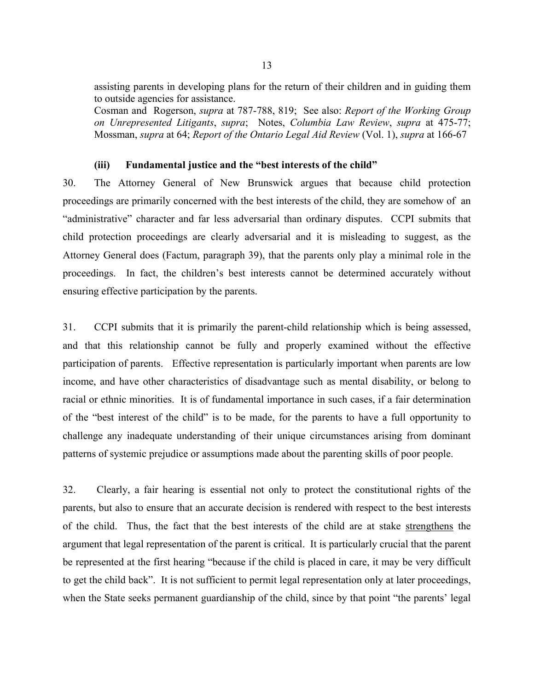assisting parents in developing plans for the return of their children and in guiding them to outside agencies for assistance.

Cosman and Rogerson, *supra* at 787-788, 819; See also: *Report of the Working Group on Unrepresented Litigants*, *supra*; Notes, *Columbia Law Review*, *supra* at 475-77; Mossman, *supra* at 64; *Report of the Ontario Legal Aid Review* (Vol. 1), *supra* at 166-67

#### **(iii) Fundamental justice and the "best interests of the child"**

30. The Attorney General of New Brunswick argues that because child protection proceedings are primarily concerned with the best interests of the child, they are somehow of an "administrative" character and far less adversarial than ordinary disputes. CCPI submits that child protection proceedings are clearly adversarial and it is misleading to suggest, as the Attorney General does (Factum, paragraph 39), that the parents only play a minimal role in the proceedings. In fact, the children's best interests cannot be determined accurately without ensuring effective participation by the parents.

31. CCPI submits that it is primarily the parent-child relationship which is being assessed, and that this relationship cannot be fully and properly examined without the effective participation of parents. Effective representation is particularly important when parents are low income, and have other characteristics of disadvantage such as mental disability, or belong to racial or ethnic minorities. It is of fundamental importance in such cases, if a fair determination of the "best interest of the child" is to be made, for the parents to have a full opportunity to challenge any inadequate understanding of their unique circumstances arising from dominant patterns of systemic prejudice or assumptions made about the parenting skills of poor people.

32. Clearly, a fair hearing is essential not only to protect the constitutional rights of the parents, but also to ensure that an accurate decision is rendered with respect to the best interests of the child. Thus, the fact that the best interests of the child are at stake strengthens the argument that legal representation of the parent is critical. It is particularly crucial that the parent be represented at the first hearing "because if the child is placed in care, it may be very difficult to get the child back". It is not sufficient to permit legal representation only at later proceedings, when the State seeks permanent guardianship of the child, since by that point "the parents' legal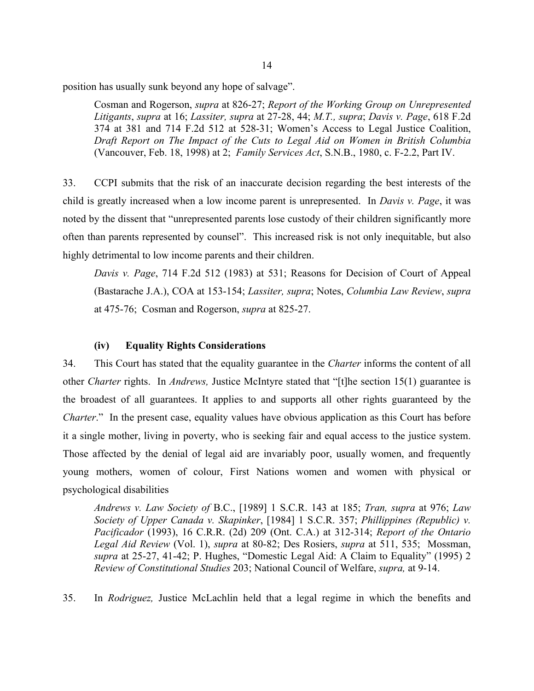position has usually sunk beyond any hope of salvage".

Cosman and Rogerson, *supra* at 826-27; *Report of the Working Group on Unrepresented Litigants*, *supra* at 16; *Lassiter, supra* at 27-28, 44; *M.T., supra*; *Davis v. Page*, 618 F.2d 374 at 381 and 714 F.2d 512 at 528-31; Women's Access to Legal Justice Coalition, *Draft Report on The Impact of the Cuts to Legal Aid on Women in British Columbia* (Vancouver, Feb. 18, 1998) at 2; *Family Services Act*, S.N.B., 1980, c. F-2.2, Part IV.

33. CCPI submits that the risk of an inaccurate decision regarding the best interests of the child is greatly increased when a low income parent is unrepresented. In *Davis v. Page*, it was noted by the dissent that "unrepresented parents lose custody of their children significantly more often than parents represented by counsel". This increased risk is not only inequitable, but also highly detrimental to low income parents and their children.

*Davis v. Page*, 714 F.2d 512 (1983) at 531; Reasons for Decision of Court of Appeal (Bastarache J.A.), COA at 153-154; *Lassiter, supra*; Notes, *Columbia Law Review*, *supra* at 475-76; Cosman and Rogerson, *supra* at 825-27.

# **(iv) Equality Rights Considerations**

34. This Court has stated that the equality guarantee in the *Charter* informs the content of all other *Charter* rights. In *Andrews,* Justice McIntyre stated that "[t]he section 15(1) guarantee is the broadest of all guarantees. It applies to and supports all other rights guaranteed by the *Charter*." In the present case, equality values have obvious application as this Court has before it a single mother, living in poverty, who is seeking fair and equal access to the justice system. Those affected by the denial of legal aid are invariably poor, usually women, and frequently young mothers, women of colour, First Nations women and women with physical or psychological disabilities

*Andrews v. Law Society of* B.C., [1989] 1 S.C.R. 143 at 185; *Tran, supra* at 976; *Law Society of Upper Canada v. Skapinker*, [1984] 1 S.C.R. 357; *Phillippines (Republic) v. Pacificador* (1993), 16 C.R.R. (2d) 209 (Ont. C.A.) at 312-314; *Report of the Ontario Legal Aid Review* (Vol. 1), *supra* at 80-82; Des Rosiers, *supra* at 511, 535; Mossman, *supra* at 25-27, 41-42; P. Hughes, "Domestic Legal Aid: A Claim to Equality" (1995) 2 *Review of Constitutional Studies* 203; National Council of Welfare, *supra,* at 9-14.

35. In *Rodriguez,* Justice McLachlin held that a legal regime in which the benefits and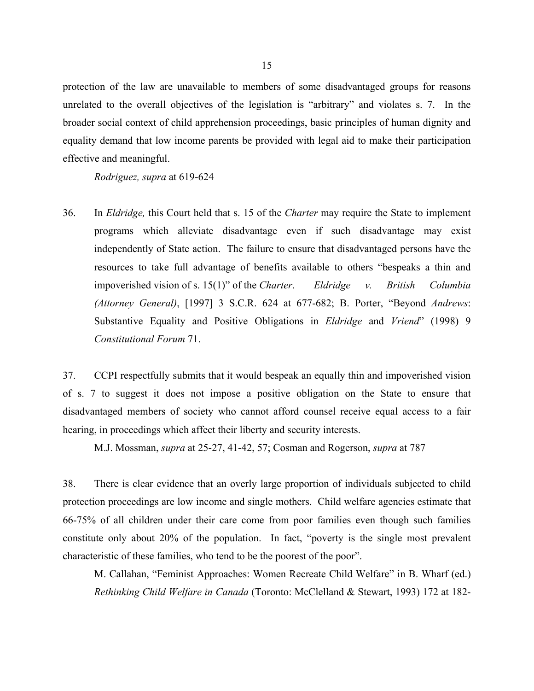protection of the law are unavailable to members of some disadvantaged groups for reasons unrelated to the overall objectives of the legislation is "arbitrary" and violates s. 7. In the broader social context of child apprehension proceedings, basic principles of human dignity and equality demand that low income parents be provided with legal aid to make their participation effective and meaningful.

*Rodriguez, supra* at 619-624

36. In *Eldridge,* this Court held that s. 15 of the *Charter* may require the State to implement programs which alleviate disadvantage even if such disadvantage may exist independently of State action. The failure to ensure that disadvantaged persons have the resources to take full advantage of benefits available to others "bespeaks a thin and impoverished vision of s. 15(1)" of the *Charter*. *Eldridge v. British Columbia (Attorney General)*, [1997] 3 S.C.R. 624 at 677-682; B. Porter, "Beyond *Andrews*: Substantive Equality and Positive Obligations in *Eldridge* and *Vriend*" (1998) 9 *Constitutional Forum* 71.

37. CCPI respectfully submits that it would bespeak an equally thin and impoverished vision of s. 7 to suggest it does not impose a positive obligation on the State to ensure that disadvantaged members of society who cannot afford counsel receive equal access to a fair hearing, in proceedings which affect their liberty and security interests.

M.J. Mossman, *supra* at 25-27, 41-42, 57; Cosman and Rogerson, *supra* at 787

38. There is clear evidence that an overly large proportion of individuals subjected to child protection proceedings are low income and single mothers. Child welfare agencies estimate that 66-75% of all children under their care come from poor families even though such families constitute only about 20% of the population. In fact, "poverty is the single most prevalent characteristic of these families, who tend to be the poorest of the poor".

M. Callahan, "Feminist Approaches: Women Recreate Child Welfare" in B. Wharf (ed.) *Rethinking Child Welfare in Canada* (Toronto: McClelland & Stewart, 1993) 172 at 182-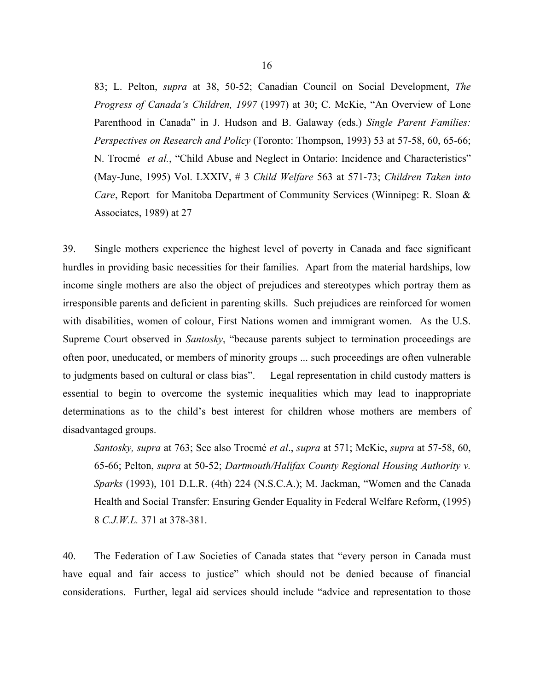83; L. Pelton, *supra* at 38, 50-52; Canadian Council on Social Development, *The Progress of Canada's Children, 1997* (1997) at 30; C. McKie, "An Overview of Lone Parenthood in Canada" in J. Hudson and B. Galaway (eds.) *Single Parent Families: Perspectives on Research and Policy* (Toronto: Thompson, 1993) 53 at 57-58, 60, 65-66; N. Trocmé *et al.*, "Child Abuse and Neglect in Ontario: Incidence and Characteristics" (May-June, 1995) Vol. LXXIV, # 3 *Child Welfare* 563 at 571-73; *Children Taken into Care*, Report for Manitoba Department of Community Services (Winnipeg: R. Sloan & Associates, 1989) at 27

39. Single mothers experience the highest level of poverty in Canada and face significant hurdles in providing basic necessities for their families. Apart from the material hardships, low income single mothers are also the object of prejudices and stereotypes which portray them as irresponsible parents and deficient in parenting skills. Such prejudices are reinforced for women with disabilities, women of colour, First Nations women and immigrant women. As the U.S. Supreme Court observed in *Santosky*, "because parents subject to termination proceedings are often poor, uneducated, or members of minority groups ... such proceedings are often vulnerable to judgments based on cultural or class bias". Legal representation in child custody matters is essential to begin to overcome the systemic inequalities which may lead to inappropriate determinations as to the child's best interest for children whose mothers are members of disadvantaged groups.

*Santosky, supra* at 763; See also Trocmé *et al*., *supra* at 571; McKie, *supra* at 57-58, 60, 65-66; Pelton, *supra* at 50-52; *Dartmouth/Halifax County Regional Housing Authority v. Sparks* (1993), 101 D.L.R. (4th) 224 (N.S.C.A.); M. Jackman, "Women and the Canada Health and Social Transfer: Ensuring Gender Equality in Federal Welfare Reform, (1995) 8 *C.J.W.L.* 371 at 378-381.

40. The Federation of Law Societies of Canada states that "every person in Canada must have equal and fair access to justice" which should not be denied because of financial considerations. Further, legal aid services should include "advice and representation to those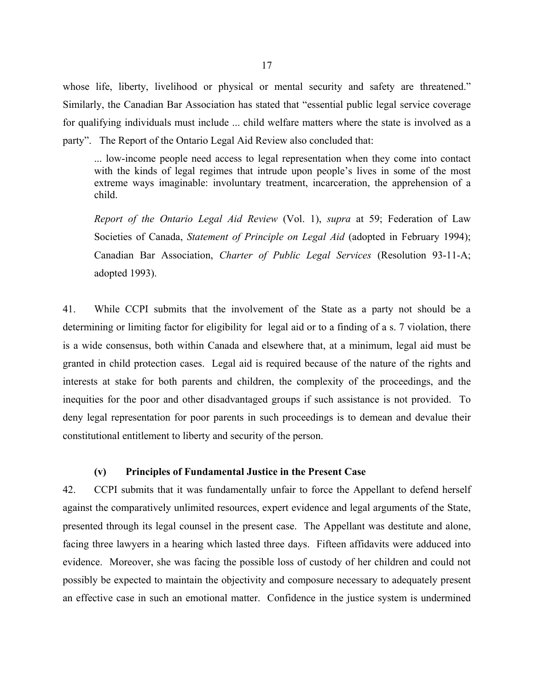whose life, liberty, livelihood or physical or mental security and safety are threatened." Similarly, the Canadian Bar Association has stated that "essential public legal service coverage for qualifying individuals must include ... child welfare matters where the state is involved as a party". The Report of the Ontario Legal Aid Review also concluded that:

... low-income people need access to legal representation when they come into contact with the kinds of legal regimes that intrude upon people's lives in some of the most extreme ways imaginable: involuntary treatment, incarceration, the apprehension of a child.

*Report of the Ontario Legal Aid Review* (Vol. 1), *supra* at 59; Federation of Law Societies of Canada, *Statement of Principle on Legal Aid* (adopted in February 1994); Canadian Bar Association, *Charter of Public Legal Services* (Resolution 93-11-A; adopted 1993).

41. While CCPI submits that the involvement of the State as a party not should be a determining or limiting factor for eligibility for legal aid or to a finding of a s. 7 violation, there is a wide consensus, both within Canada and elsewhere that, at a minimum, legal aid must be granted in child protection cases. Legal aid is required because of the nature of the rights and interests at stake for both parents and children, the complexity of the proceedings, and the inequities for the poor and other disadvantaged groups if such assistance is not provided. To deny legal representation for poor parents in such proceedings is to demean and devalue their constitutional entitlement to liberty and security of the person.

#### **(v) Principles of Fundamental Justice in the Present Case**

42. CCPI submits that it was fundamentally unfair to force the Appellant to defend herself against the comparatively unlimited resources, expert evidence and legal arguments of the State, presented through its legal counsel in the present case. The Appellant was destitute and alone, facing three lawyers in a hearing which lasted three days. Fifteen affidavits were adduced into evidence. Moreover, she was facing the possible loss of custody of her children and could not possibly be expected to maintain the objectivity and composure necessary to adequately present an effective case in such an emotional matter. Confidence in the justice system is undermined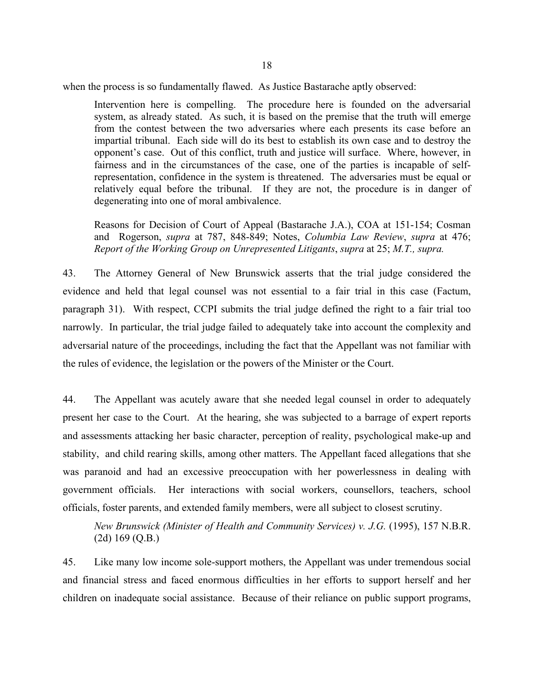when the process is so fundamentally flawed. As Justice Bastarache aptly observed:

Intervention here is compelling. The procedure here is founded on the adversarial system, as already stated. As such, it is based on the premise that the truth will emerge from the contest between the two adversaries where each presents its case before an impartial tribunal. Each side will do its best to establish its own case and to destroy the opponent's case. Out of this conflict, truth and justice will surface. Where, however, in fairness and in the circumstances of the case, one of the parties is incapable of selfrepresentation, confidence in the system is threatened. The adversaries must be equal or relatively equal before the tribunal. If they are not, the procedure is in danger of degenerating into one of moral ambivalence.

Reasons for Decision of Court of Appeal (Bastarache J.A.), COA at 151-154; Cosman and Rogerson, *supra* at 787, 848-849; Notes, *Columbia Law Review*, *supra* at 476; *Report of the Working Group on Unrepresented Litigants*, *supra* at 25; *M.T., supra.*

43. The Attorney General of New Brunswick asserts that the trial judge considered the evidence and held that legal counsel was not essential to a fair trial in this case (Factum, paragraph 31). With respect, CCPI submits the trial judge defined the right to a fair trial too narrowly. In particular, the trial judge failed to adequately take into account the complexity and adversarial nature of the proceedings, including the fact that the Appellant was not familiar with the rules of evidence, the legislation or the powers of the Minister or the Court.

44. The Appellant was acutely aware that she needed legal counsel in order to adequately present her case to the Court. At the hearing, she was subjected to a barrage of expert reports and assessments attacking her basic character, perception of reality, psychological make-up and stability, and child rearing skills, among other matters. The Appellant faced allegations that she was paranoid and had an excessive preoccupation with her powerlessness in dealing with government officials. Her interactions with social workers, counsellors, teachers, school officials, foster parents, and extended family members, were all subject to closest scrutiny.

*New Brunswick (Minister of Health and Community Services) v. J.G.* (1995), 157 N.B.R. (2d) 169 (Q.B.)

45. Like many low income sole-support mothers, the Appellant was under tremendous social and financial stress and faced enormous difficulties in her efforts to support herself and her children on inadequate social assistance. Because of their reliance on public support programs,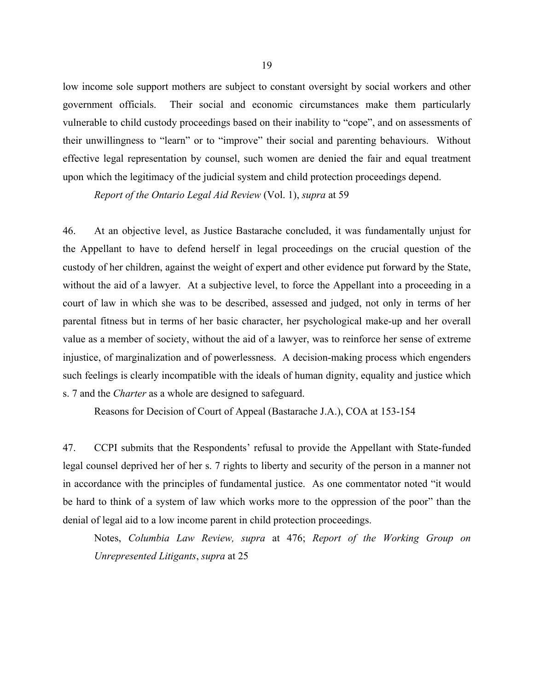low income sole support mothers are subject to constant oversight by social workers and other government officials. Their social and economic circumstances make them particularly vulnerable to child custody proceedings based on their inability to "cope", and on assessments of their unwillingness to "learn" or to "improve" their social and parenting behaviours. Without effective legal representation by counsel, such women are denied the fair and equal treatment upon which the legitimacy of the judicial system and child protection proceedings depend.

*Report of the Ontario Legal Aid Review* (Vol. 1), *supra* at 59

46. At an objective level, as Justice Bastarache concluded, it was fundamentally unjust for the Appellant to have to defend herself in legal proceedings on the crucial question of the custody of her children, against the weight of expert and other evidence put forward by the State, without the aid of a lawyer. At a subjective level, to force the Appellant into a proceeding in a court of law in which she was to be described, assessed and judged, not only in terms of her parental fitness but in terms of her basic character, her psychological make-up and her overall value as a member of society, without the aid of a lawyer, was to reinforce her sense of extreme injustice, of marginalization and of powerlessness. A decision-making process which engenders such feelings is clearly incompatible with the ideals of human dignity, equality and justice which s. 7 and the *Charter* as a whole are designed to safeguard.

Reasons for Decision of Court of Appeal (Bastarache J.A.), COA at 153-154

47. CCPI submits that the Respondents' refusal to provide the Appellant with State-funded legal counsel deprived her of her s. 7 rights to liberty and security of the person in a manner not in accordance with the principles of fundamental justice. As one commentator noted "it would be hard to think of a system of law which works more to the oppression of the poor" than the denial of legal aid to a low income parent in child protection proceedings.

Notes, *Columbia Law Review, supra* at 476; *Report of the Working Group on Unrepresented Litigants*, *supra* at 25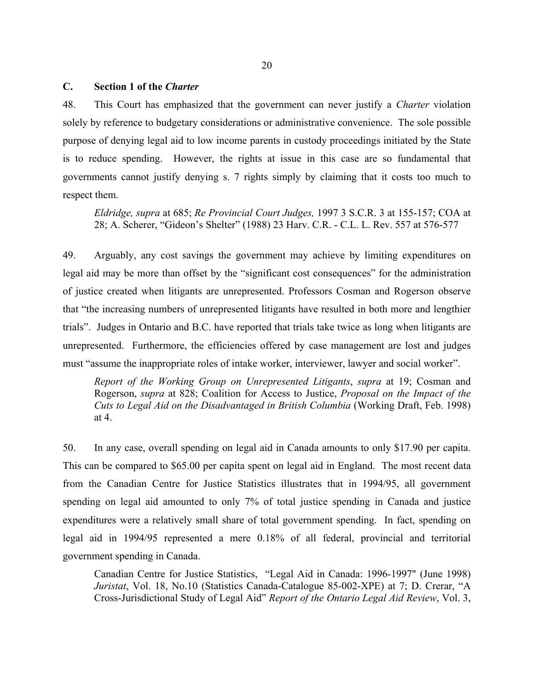#### **C. Section 1 of the** *Charter*

48. This Court has emphasized that the government can never justify a *Charter* violation solely by reference to budgetary considerations or administrative convenience. The sole possible purpose of denying legal aid to low income parents in custody proceedings initiated by the State is to reduce spending. However, the rights at issue in this case are so fundamental that governments cannot justify denying s. 7 rights simply by claiming that it costs too much to respect them.

*Eldridge, supra* at 685; *Re Provincial Court Judges,* 1997 3 S.C.R. 3 at 155-157; COA at 28; A. Scherer, "Gideon's Shelter" (1988) 23 Harv. C.R. - C.L. L. Rev. 557 at 576-577

49. Arguably, any cost savings the government may achieve by limiting expenditures on legal aid may be more than offset by the "significant cost consequences" for the administration of justice created when litigants are unrepresented. Professors Cosman and Rogerson observe that "the increasing numbers of unrepresented litigants have resulted in both more and lengthier trials". Judges in Ontario and B.C. have reported that trials take twice as long when litigants are unrepresented. Furthermore, the efficiencies offered by case management are lost and judges must "assume the inappropriate roles of intake worker, interviewer, lawyer and social worker".

*Report of the Working Group on Unrepresented Litigants*, *supra* at 19; Cosman and Rogerson, *supra* at 828; Coalition for Access to Justice, *Proposal on the Impact of the Cuts to Legal Aid on the Disadvantaged in British Columbia* (Working Draft, Feb. 1998) at 4.

50. In any case, overall spending on legal aid in Canada amounts to only \$17.90 per capita. This can be compared to \$65.00 per capita spent on legal aid in England. The most recent data from the Canadian Centre for Justice Statistics illustrates that in 1994/95, all government spending on legal aid amounted to only 7% of total justice spending in Canada and justice expenditures were a relatively small share of total government spending. In fact, spending on legal aid in 1994/95 represented a mere 0.18% of all federal, provincial and territorial government spending in Canada.

Canadian Centre for Justice Statistics, "Legal Aid in Canada: 1996-1997" (June 1998) *Juristat*, Vol. 18, No.10 (Statistics Canada-Catalogue 85-002-XPE) at 7; D. Crerar, "A Cross-Jurisdictional Study of Legal Aid" *Report of the Ontario Legal Aid Review*, Vol. 3,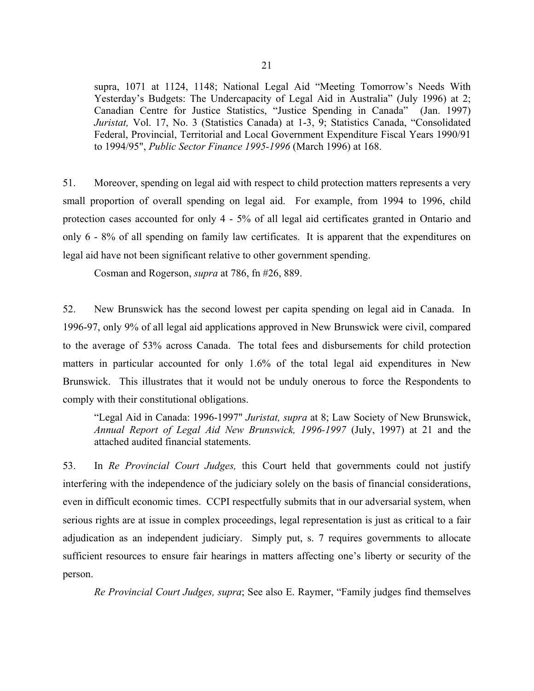supra, 1071 at 1124, 1148; National Legal Aid "Meeting Tomorrow's Needs With Yesterday's Budgets: The Undercapacity of Legal Aid in Australia" (July 1996) at 2; Canadian Centre for Justice Statistics, "Justice Spending in Canada" (Jan. 1997) *Juristat,* Vol. 17, No. 3 (Statistics Canada) at 1-3, 9; Statistics Canada, "Consolidated Federal, Provincial, Territorial and Local Government Expenditure Fiscal Years 1990/91 to 1994/95", *Public Sector Finance 1995-1996* (March 1996) at 168.

51. Moreover, spending on legal aid with respect to child protection matters represents a very small proportion of overall spending on legal aid. For example, from 1994 to 1996, child protection cases accounted for only 4 - 5% of all legal aid certificates granted in Ontario and only 6 - 8% of all spending on family law certificates. It is apparent that the expenditures on legal aid have not been significant relative to other government spending.

Cosman and Rogerson, *supra* at 786, fn #26, 889.

52. New Brunswick has the second lowest per capita spending on legal aid in Canada. In 1996-97, only 9% of all legal aid applications approved in New Brunswick were civil, compared to the average of 53% across Canada. The total fees and disbursements for child protection matters in particular accounted for only 1.6% of the total legal aid expenditures in New Brunswick. This illustrates that it would not be unduly onerous to force the Respondents to comply with their constitutional obligations.

"Legal Aid in Canada: 1996-1997" *Juristat, supra* at 8; Law Society of New Brunswick, *Annual Report of Legal Aid New Brunswick, 1996-1997* (July, 1997) at 21 and the attached audited financial statements.

53. In *Re Provincial Court Judges,* this Court held that governments could not justify interfering with the independence of the judiciary solely on the basis of financial considerations, even in difficult economic times. CCPI respectfully submits that in our adversarial system, when serious rights are at issue in complex proceedings, legal representation is just as critical to a fair adjudication as an independent judiciary. Simply put, s. 7 requires governments to allocate sufficient resources to ensure fair hearings in matters affecting one's liberty or security of the person.

*Re Provincial Court Judges, supra*; See also E. Raymer, "Family judges find themselves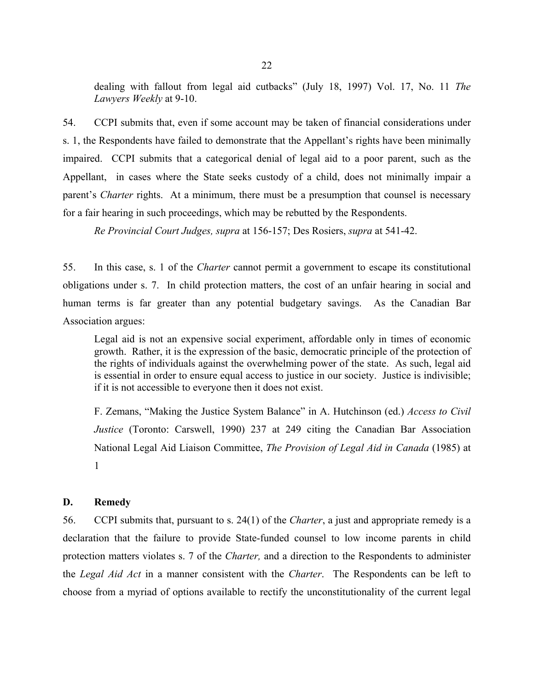dealing with fallout from legal aid cutbacks" (July 18, 1997) Vol. 17, No. 11 *The Lawyers Weekly* at 9-10.

54. CCPI submits that, even if some account may be taken of financial considerations under s. 1, the Respondents have failed to demonstrate that the Appellant's rights have been minimally impaired. CCPI submits that a categorical denial of legal aid to a poor parent, such as the Appellant, in cases where the State seeks custody of a child, does not minimally impair a parent's *Charter* rights. At a minimum, there must be a presumption that counsel is necessary for a fair hearing in such proceedings, which may be rebutted by the Respondents.

*Re Provincial Court Judges, supra* at 156-157; Des Rosiers, *supra* at 541-42.

55. In this case, s. 1 of the *Charter* cannot permit a government to escape its constitutional obligations under s. 7. In child protection matters, the cost of an unfair hearing in social and human terms is far greater than any potential budgetary savings. As the Canadian Bar Association argues:

Legal aid is not an expensive social experiment, affordable only in times of economic growth. Rather, it is the expression of the basic, democratic principle of the protection of the rights of individuals against the overwhelming power of the state. As such, legal aid is essential in order to ensure equal access to justice in our society. Justice is indivisible; if it is not accessible to everyone then it does not exist.

F. Zemans, "Making the Justice System Balance" in A. Hutchinson (ed.) *Access to Civil Justice* (Toronto: Carswell, 1990) 237 at 249 citing the Canadian Bar Association National Legal Aid Liaison Committee, *The Provision of Legal Aid in Canada* (1985) at 1

# **D. Remedy**

56. CCPI submits that, pursuant to s. 24(1) of the *Charter*, a just and appropriate remedy is a declaration that the failure to provide State-funded counsel to low income parents in child protection matters violates s. 7 of the *Charter,* and a direction to the Respondents to administer the *Legal Aid Act* in a manner consistent with the *Charter*. The Respondents can be left to choose from a myriad of options available to rectify the unconstitutionality of the current legal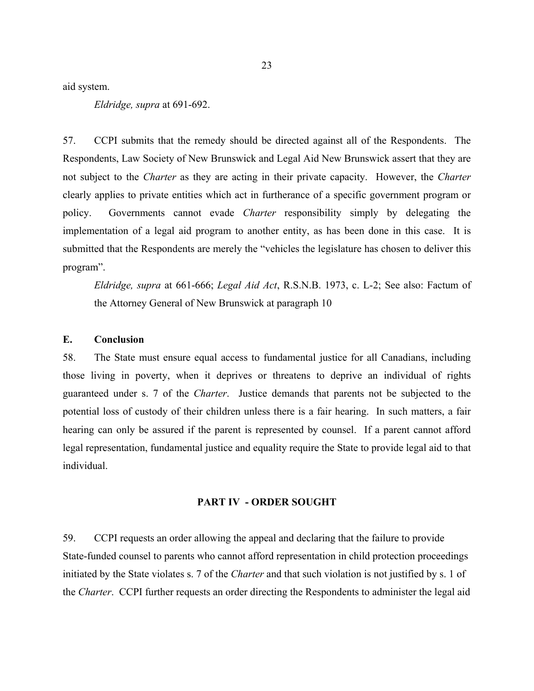aid system.

*Eldridge, supra* at 691-692.

57. CCPI submits that the remedy should be directed against all of the Respondents. The Respondents, Law Society of New Brunswick and Legal Aid New Brunswick assert that they are not subject to the *Charter* as they are acting in their private capacity. However, the *Charter* clearly applies to private entities which act in furtherance of a specific government program or policy. Governments cannot evade *Charter* responsibility simply by delegating the implementation of a legal aid program to another entity, as has been done in this case. It is submitted that the Respondents are merely the "vehicles the legislature has chosen to deliver this program".

*Eldridge, supra* at 661-666; *Legal Aid Act*, R.S.N.B. 1973, c. L-2; See also: Factum of the Attorney General of New Brunswick at paragraph 10

#### **E. Conclusion**

58. The State must ensure equal access to fundamental justice for all Canadians, including those living in poverty, when it deprives or threatens to deprive an individual of rights guaranteed under s. 7 of the *Charter*. Justice demands that parents not be subjected to the potential loss of custody of their children unless there is a fair hearing. In such matters, a fair hearing can only be assured if the parent is represented by counsel. If a parent cannot afford legal representation, fundamental justice and equality require the State to provide legal aid to that individual.

## **PART IV - ORDER SOUGHT**

59. CCPI requests an order allowing the appeal and declaring that the failure to provide State-funded counsel to parents who cannot afford representation in child protection proceedings initiated by the State violates s. 7 of the *Charter* and that such violation is not justified by s. 1 of the *Charter*. CCPI further requests an order directing the Respondents to administer the legal aid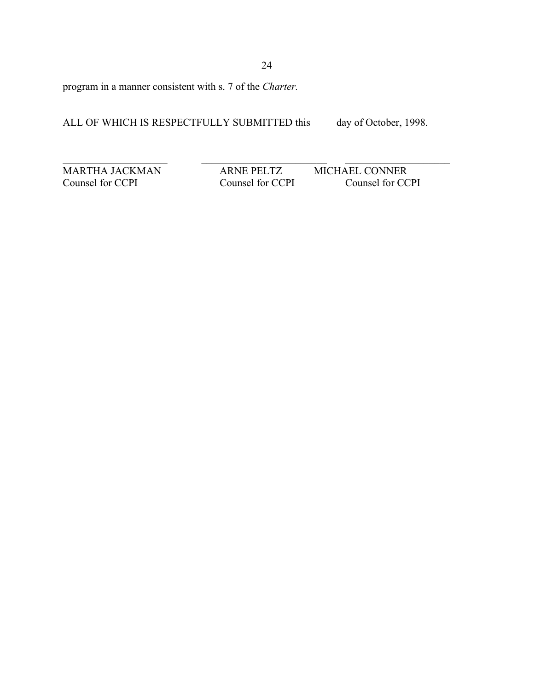program in a manner consistent with s. 7 of the *Charter.* 

ALL OF WHICH IS RESPECTFULLY SUBMITTED this day of October, 1998.

MARTHA JACKMAN ARNE PELTZ MICHAEL CONNER<br>
Counsel for CCPI Counsel for CCPI Counsel for CC

 $\mathcal{L}_\text{max} = \mathcal{L}_\text{max} = \mathcal{L}_\text{max} = \mathcal{L}_\text{max} = \mathcal{L}_\text{max} = \mathcal{L}_\text{max} = \mathcal{L}_\text{max} = \mathcal{L}_\text{max} = \mathcal{L}_\text{max} = \mathcal{L}_\text{max} = \mathcal{L}_\text{max} = \mathcal{L}_\text{max} = \mathcal{L}_\text{max} = \mathcal{L}_\text{max} = \mathcal{L}_\text{max} = \mathcal{L}_\text{max} = \mathcal{L}_\text{max} = \mathcal{L}_\text{max} = \mathcal{$ 

Counsel for CCPI Counsel for CCPI Counsel for CCPI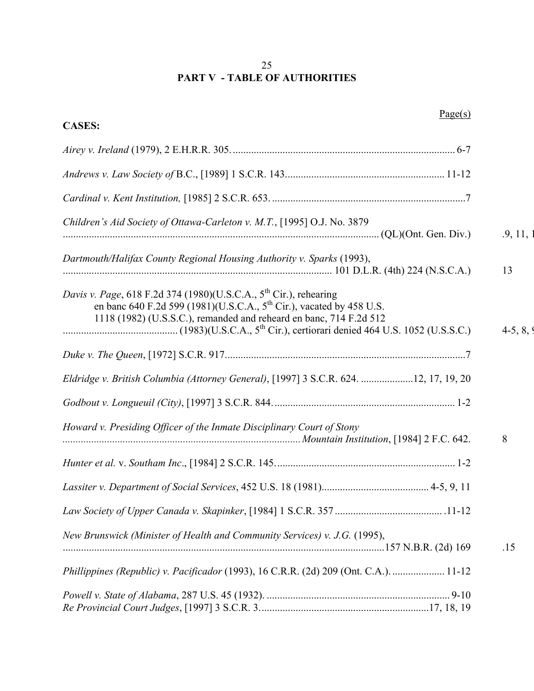# 25 **PART V - TABLE OF AUTHORITIES**

| Page(s)                                                                                                                                                                                                                                 |           |
|-----------------------------------------------------------------------------------------------------------------------------------------------------------------------------------------------------------------------------------------|-----------|
| <b>CASES:</b>                                                                                                                                                                                                                           |           |
|                                                                                                                                                                                                                                         |           |
|                                                                                                                                                                                                                                         |           |
|                                                                                                                                                                                                                                         |           |
| Children's Aid Society of Ottawa-Carleton v. M.T., [1995] O.J. No. 3879                                                                                                                                                                 | .9, 11,   |
| Dartmouth/Halifax County Regional Housing Authority v. Sparks (1993),                                                                                                                                                                   | 13        |
| Davis v. Page, 618 F.2d 374 (1980)(U.S.C.A., 5 <sup>th</sup> Cir.), rehearing<br>en banc 640 F.2d 599 (1981)(U.S.C.A., 5 <sup>th</sup> Cir.), vacated by 458 U.S.<br>1118 (1982) (U.S.S.C.), remanded and reheard en banc, 714 F.2d 512 | $4-5, 8,$ |
|                                                                                                                                                                                                                                         |           |
| Eldridge v. British Columbia (Attorney General), [1997] 3 S.C.R. 624. 12, 17, 19, 20                                                                                                                                                    |           |
|                                                                                                                                                                                                                                         |           |
| Howard v. Presiding Officer of the Inmate Disciplinary Court of Stony                                                                                                                                                                   | 8         |
|                                                                                                                                                                                                                                         |           |
|                                                                                                                                                                                                                                         |           |
|                                                                                                                                                                                                                                         |           |
| New Brunswick (Minister of Health and Community Services) v. J.G. (1995),                                                                                                                                                               | .15       |
| Phillippines (Republic) v. Pacificador (1993), 16 C.R.R. (2d) 209 (Ont. C.A.).  11-12                                                                                                                                                   |           |
|                                                                                                                                                                                                                                         |           |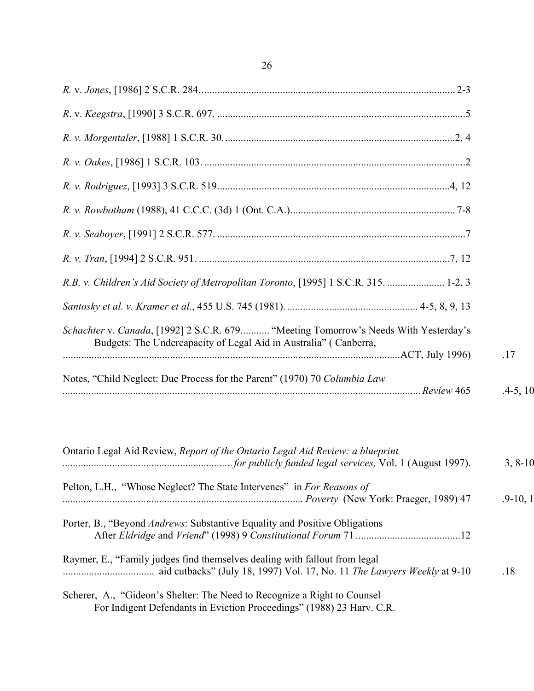| R.B. v. Children's Aid Society of Metropolitan Toronto, [1995] 1 S.C.R. 315.  1-2, 3                                                                    |            |
|---------------------------------------------------------------------------------------------------------------------------------------------------------|------------|
|                                                                                                                                                         |            |
| Schachter v. Canada, [1992] 2 S.C.R. 679 "Meeting Tomorrow's Needs With Yesterday's<br>Budgets: The Undercapacity of Legal Aid in Australia" (Canberra, | .17        |
| Notes, "Child Neglect: Due Process for the Parent" (1970) 70 Columbia Law                                                                               | $.4-5, 10$ |
| Ontario Legal Aid Review, Report of the Ontario Legal Aid Review: a blueprint                                                                           | $3, 8-10$  |

| Pelton, L.H., "Whose Neglect? The State Intervenes" in For Reasons of              |              |
|------------------------------------------------------------------------------------|--------------|
|                                                                                    | $.9 - 10, 1$ |
| Porter, B., "Beyond <i>Andrews</i> : Substantive Equality and Positive Obligations |              |
|                                                                                    |              |
| Raymer, E., "Family judges find themselves dealing with fallout from legal         |              |
| aid cutbacks" (July 18, 1997) Vol. 17, No. 11 The Lawyers Weekly at 9-10           | .18          |
| Scherer, A., "Gideon's Shelter: The Need to Recognize a Right to Counsel           |              |

For Indigent Defendants in Eviction Proceedings" (1988) 23 Harv. C.R.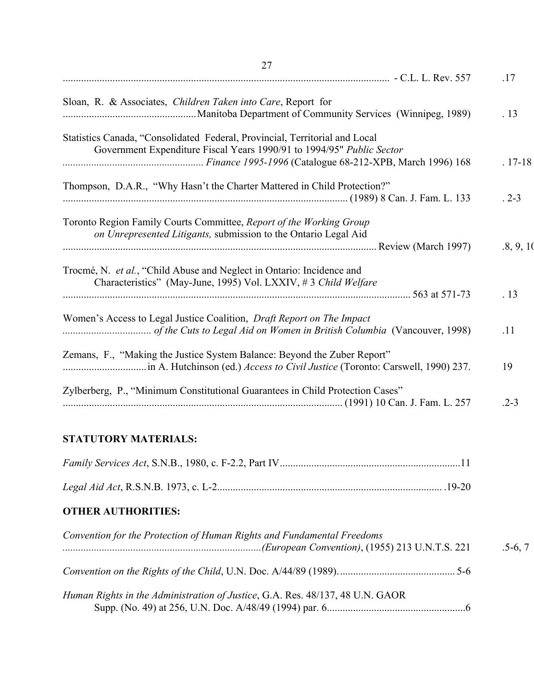| 27                                                                                                                                                   |           |
|------------------------------------------------------------------------------------------------------------------------------------------------------|-----------|
|                                                                                                                                                      | .17       |
| Sloan, R. & Associates, Children Taken into Care, Report for                                                                                         | .13       |
| Statistics Canada, "Consolidated Federal, Provincial, Territorial and Local<br>Government Expenditure Fiscal Years 1990/91 to 1994/95" Public Sector | $.17-18$  |
| Thompson, D.A.R., "Why Hasn't the Charter Mattered in Child Protection?"                                                                             | $.2 - 3$  |
| Toronto Region Family Courts Committee, Report of the Working Group<br>on Unrepresented Litigants, submission to the Ontario Legal Aid               | .8, 9, 10 |
| Trocmé, N. et al., "Child Abuse and Neglect in Ontario: Incidence and<br>Characteristics" (May-June, 1995) Vol. LXXIV, #3 Child Welfare              | .13       |
| Women's Access to Legal Justice Coalition, <i>Draft Report on The Impact</i>                                                                         | .11       |
| Zemans, F., "Making the Justice System Balance: Beyond the Zuber Report"                                                                             | 19        |
| Zylberberg, P., "Minimum Constitutional Guarantees in Child Protection Cases"                                                                        | $.2 - 3$  |

# **STATUTORY MATERIALS:**

# **OTHER AUTHORITIES:**

| Convention for the Protection of Human Rights and Fundamental Freedoms        | $.5-6, 7$ |
|-------------------------------------------------------------------------------|-----------|
|                                                                               |           |
| Human Rights in the Administration of Justice, G.A. Res. 48/137, 48 U.N. GAOR |           |